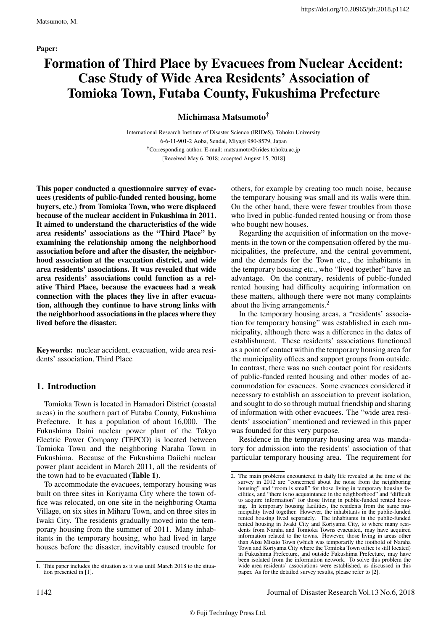# Formation of Third Place by Evacuees from Nuclear Accident: Case Study of Wide Area Residents' Association of Tomioka Town, Futaba County, Fukushima Prefecture

# Michimasa Matsumoto†

International Research Institute of Disaster Science (IRIDeS), Tohoku University 6-6-11-901-2 Aoba, Sendai, Miyagi 980-8579, Japan †Corresponding author, E-mail: matsumoto@irides.tohoku.ac.jp [Received May 6, 2018; accepted August 15, 2018]

This paper conducted a questionnaire survey of evacuees (residents of public-funded rented housing, home buyers, etc.) from Tomioka Town, who were displaced because of the nuclear accident in Fukushima in 2011. It aimed to understand the characteristics of the wide area residents' associations as the "Third Place" by examining the relationship among the neighborhood association before and after the disaster, the neighborhood association at the evacuation district, and wide area residents' associations. It was revealed that wide area residents' associations could function as a relative Third Place, because the evacuees had a weak connection with the places they live in after evacuation, although they continue to have strong links with the neighborhood associations in the places where they lived before the disaster.

Keywords: nuclear accident, evacuation, wide area residents' association, Third Place

# 1. Introduction

Tomioka Town is located in Hamadori District (coastal areas) in the southern part of Futaba County, Fukushima Prefecture. It has a population of about 16,000. The Fukushima Daini nuclear power plant of the Tokyo Electric Power Company (TEPCO) is located between Tomioka Town and the neighboring Naraha Town in Fukushima. Because of the Fukushima Daiichi nuclear power plant accident in March 2011, all the residents of the town had to be evacuated (Table 1).

To accommodate the evacuees, temporary housing was built on three sites in Koriyama City where the town office was relocated, on one site in the neighboring Otama Village, on six sites in Miharu Town, and on three sites in Iwaki City. The residents gradually moved into the temporary housing from the summer of 2011. Many inhabitants in the temporary housing, who had lived in large houses before the disaster, inevitably caused trouble for others, for example by creating too much noise, because the temporary housing was small and its walls were thin. On the other hand, there were fewer troubles from those who lived in public-funded rented housing or from those who bought new houses.

Regarding the acquisition of information on the movements in the town or the compensation offered by the municipalities, the prefecture, and the central government, and the demands for the Town etc., the inhabitants in the temporary housing etc., who "lived together" have an advantage. On the contrary, residents of public-funded rented housing had difficulty acquiring information on these matters, although there were not many complaints about the living arrangements.<sup>2</sup>

In the temporary housing areas, a "residents' association for temporary housing" was established in each municipality, although there was a difference in the dates of establishment. These residents' associations functioned as a point of contact within the temporary housing area for the municipality offices and support groups from outside. In contrast, there was no such contact point for residents of public-funded rented housing and other modes of accommodation for evacuees. Some evacuees considered it necessary to establish an association to prevent isolation, and sought to do so through mutual friendship and sharing of information with other evacuees. The "wide area residents' association" mentioned and reviewed in this paper was founded for this very purpose.

Residence in the temporary housing area was mandatory for admission into the residents' association of that particular temporary housing area. The requirement for

<sup>1.</sup> This paper includes the situation as it was until March 2018 to the situation presented in [1].

<sup>2.</sup> The main problems encountered in daily life revealed at the time of the survey in 2012 are "concerned about the noise from the neighboring housing" and "room is small" for those living in temporary housing facilities, and "there is no acquaintance in the neighborhood" and "difficult to acquire information" for those living in public-funded rented housing. In temporary housing facilities, the residents from the same municipality lived together. However, the inhabitants in the public-funded rented housing lived separately. The inhabitants in the public-funded rented housing in Iwaki City and Koriyama City, to where many residents from Naraha and Tomioka Towns evacuated, may have acquired information related to the towns. However, those living in areas other than Aizu Misato Town (which was temporarily the foothold of Naraha Town and Koriyama City where the Tomioka Town office is still located) in Fukushima Prefecture, and outside Fukushima Prefecture, may have been isolated from the information network. To solve this problem the wide area residents' associations were established, as discussed in this paper. As for the detailed survey results, please refer to [2].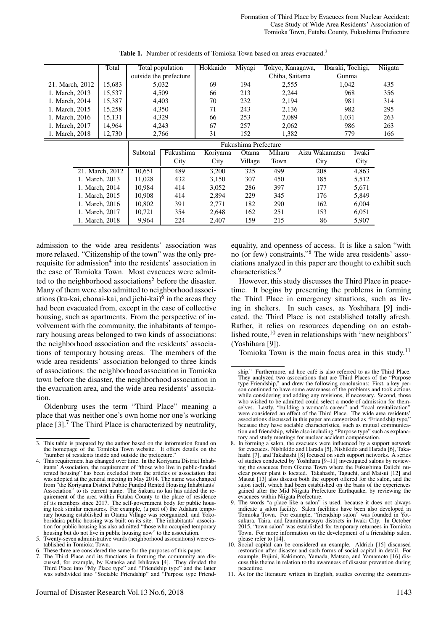Formation of Third Place by Evacuees from Nuclear Accident: Case Study of Wide Area Residents' Association of Tomioka Town, Futaba County, Fukushima Prefecture

|                 | Total           | Total population |                        | Hokkaido | Miyagi  | Tokyo, Kanagawa, |                | Ibaraki, Tochigi, |     |
|-----------------|-----------------|------------------|------------------------|----------|---------|------------------|----------------|-------------------|-----|
|                 |                 |                  | outside the prefecture |          |         | Chiba, Saitama   |                | Gunma             |     |
| 21. March, 2012 | 15,683          |                  | 5,032                  | 69       | 194     | 2,555            |                | 1,042             |     |
| 1. March, 2013  | 15,537          |                  | 4,509                  |          | 213     | 2,244            |                | 968               | 356 |
| 1. March, 2014  | 15,387          |                  | 4,403                  |          | 232     | 2,194            |                | 981               | 314 |
| 1. March, 2015  | 15,258          |                  | 4,350                  | 71       | 243     | 2,136            |                | 982               | 295 |
| 1. March, 2016  | 15,131          |                  | 4,329                  | 66       | 253     | 2,089            |                | 1,031             | 263 |
| 1. March, 2017  | 14,964          |                  |                        | 67       | 257     | 2,062            |                | 986               | 263 |
| 1. March, 2018  | 12,730          | 4,243<br>2,766   |                        | 31       | 152     | 1,382            |                | 779               | 166 |
|                 |                 |                  | Fukushima Prefecture   |          |         |                  |                |                   |     |
|                 |                 | Subtotal         | Fukushima              | Koriyama | Otama   | Miharu           | Aizu Wakamatsu | Iwaki             |     |
|                 |                 |                  | City                   | City     | Village | Town             | City           | City              |     |
|                 | 21. March. 2012 | 10,651           | 489                    | 3,200    | 325     | 499              | 208            | 4,863             |     |
|                 | 1. March, 2013  | 11,028           | 432                    | 3,150    | 307     | 450              | 185            | 5,512             |     |
|                 | 1. March, 2014  | 10.984           | 414                    | 3,052    | 286     | 397              | 177            | 5,671             |     |
|                 | 1. March, 2015  | 10,908           | 414                    | 2,894    | 229     | 345              | 176            | 5,849             |     |
|                 | 1. March, 2016  | 10,802           | 391                    | 2,771    | 182     | 290              | 162            | 6,004             |     |
|                 | 1. March, 2017  | 10,721           | 354                    | 2,648    | 162     | 251              | 153            | 6,051             |     |
|                 | 1. March, 2018  | 9,964            | 224                    | 2,407    | 159     | 215              | 86             | 5,907             |     |

Table 1. Number of residents of Tomioka Town based on areas evacuated.<sup>3</sup>

admission to the wide area residents' association was more relaxed. "Citizenship of the town" was the only prerequisite for admission<sup>4</sup> into the residents' association in the case of Tomioka Town. Most evacuees were admitted to the neighborhood associations<sup>5</sup> before the disaster. Many of them were also admitted to neighborhood associations (ku-kai, chonai-kai, and jichi-kai) $<sup>6</sup>$  in the areas they</sup> had been evacuated from, except in the case of collective housing, such as apartments. From the perspective of involvement with the community, the inhabitants of temporary housing areas belonged to two kinds of associations: the neighborhood association and the residents' associations of temporary housing areas. The members of the wide area residents' association belonged to three kinds of associations: the neighborhood association in Tomioka town before the disaster, the neighborhood association in the evacuation area, and the wide area residents' association.

Oldenburg uses the term "Third Place" meaning a place that was neither one's own home nor one's working place  $[3]$ .<sup>7</sup> The Third Place is characterized by neutrality, equality, and openness of access. It is like a salon "with no (or few) constraints."<sup>8</sup> The wide area residents' associations analyzed in this paper are thought to exhibit such characteristics.<sup>9</sup>

However, this study discusses the Third Place in peacetime. It begins by presenting the problems in forming the Third Place in emergency situations, such as living in shelters. In such cases, as Yoshihara [9] indicated, the Third Place is not established totally afresh. Rather, it relies on resources depending on an established route,<sup>10</sup> even in relationships with "new neighbors" (Yoshihara [9]).

Tomioka Town is the main focus area in this study.<sup>11</sup>

<sup>3.</sup> This table is prepared by the author based on the information found on the homepage of the Tomioka Town website. It offers details on the

<sup>&</sup>quot;number of residents inside and outside the prefecture." 4. This requirement has changed over time. In the Koriyama District Inhabitants' Association, the requirement of "those who live in public-funded rented housing" has been excluded from the articles of association that was adopted at the general meeting in May 2014. The name was changed from "the Koriyama District Public Funded Rented Housing Inhabitants' Association" to its current name. The Sakura no kai has added the requirement of the area within Futaba County to the place of residence of its members since 2017. The self-government body for public housing took similar measures. For example, (a part of) the Adatara temporary housing established in Otama Village was reorganized, and Yokoboridaira public housing was built on its site. The inhabitants' association for public housing has also admitted "those who occupied temporary housing but do not live in public housing now" to the association. 5. Twenty-seven administrative wards (neighborhood associations) were es-

tablished in Tomioka Town.

These three are considered the same for the purposes of this paper.

<sup>7.</sup> The Third Place and its functions in forming the community are dis-cussed, for example, by Kataoka and Ishikawa [4]. They divided the Third Place into "My Place type" and "Friendship type" and the latter was subdivided into "Sociable Friendship" and "Purpose type Friend-

ship." Furthermore, ad hoc café is also referred to as the Third Place. They analyzed two associations that are Third Places of the "Purpose type Friendship," and drew the following conclusions: First, a key person continued to have some awareness of the problems and took actions while considering and adding any revisions, if necessary. Second, those who wished to be admitted could select a mode of admission for themselves. Lastly, "building a woman's career" and "local revitalization" were considered an effect of the Third Place. The wide area residents' associations discussed in this paper are categorized as "Friendship type," because they have sociable characteristics, such as mutual communication and friendship, while also including "Purpose type" such as explanatory and study meetings for nuclear accident compensation.

<sup>8.</sup> In forming a salon, the evacuees were influenced by a support network for evacuees. Nishikido and Harada [5], Nishikido and Harada [6], Takahashi [7], and Takahashi [8] focused on such support networks. A series of studies conducted by Yoshihara [9–11] investigated salons by reviewing the evacuees from Okuma Town where the Fukushima Daiichi nuclear power plant is located. Takahashi, Taguchi, and Matsui [12] and Matsui [13] also discuss both the support offered for the salon, and the salon itself, which had been established on the basis of the experiences gained after the Mid Niigata Prefecture Earthquake, by reviewing the

evacuees within Niigata Prefecture. 9. The words "a place like a salon" is used, because it does not always indicate a salon facility. Salon facilities have been also developed in Tomioka Town. For example, "friendship salon" was founded in Yotsukura, Taira, and Izumitamatsuyu districts in Iwaki City. In October 2015, "town salon" was established for temporary returnees in Tomioka Town. For more information on the development of a friendship salon, please refer to [14].

<sup>10.</sup> Social capital can be considered an example. Aldrich [15] discussed restoration after disaster and such forms of social capital in detail. For example, Fujimi, Kakimoto, Yamada, Matsuo, and Yamamoto [16] discuss this theme in relation to the awareness of disaster prevention during peacetime.

<sup>11.</sup> As for the literature written in English, studies covering the communi-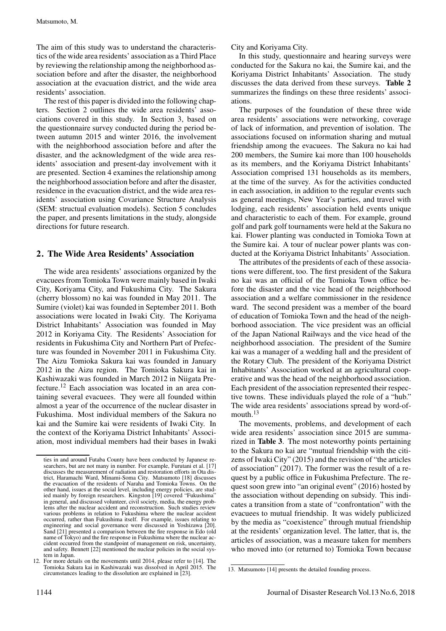The aim of this study was to understand the characteristics of the wide area residents' association as a Third Place by reviewing the relationship among the neighborhood association before and after the disaster, the neighborhood association at the evacuation district, and the wide area residents' association.

The rest of this paper is divided into the following chapters. Section 2 outlines the wide area residents' associations covered in this study. In Section 3, based on the questionnaire survey conducted during the period between autumn 2015 and winter 2016, the involvement with the neighborhood association before and after the disaster, and the acknowledgment of the wide area residents' association and present-day involvement with it are presented. Section 4 examines the relationship among the neighborhood association before and after the disaster, residence in the evacuation district, and the wide area residents' association using Covariance Structure Analysis (SEM: structual evaluation models). Section 5 concludes the paper, and presents limitations in the study, alongside directions for future research.

# 2. The Wide Area Residents' Association

The wide area residents' associations organized by the evacuees from Tomioka Town were mainly based in Iwaki City, Koriyama City, and Fukushima City. The Sakura (cherry blossom) no kai was founded in May 2011. The Sumire (violet) kai was founded in September 2011. Both associations were located in Iwaki City. The Koriyama District Inhabitants' Association was founded in May 2012 in Koriyama City. The Residents' Association for residents in Fukushima City and Northern Part of Prefecture was founded in November 2011 in Fukushima City. The Aizu Tomioka Sakura kai was founded in January 2012 in the Aizu region. The Tomioka Sakura kai in Kashiwazaki was founded in March 2012 in Niigata Prefecture.<sup>12</sup> Each association was located in an area containing several evacuees. They were all founded within almost a year of the occurrence of the nuclear disaster in Fukushima. Most individual members of the Sakura no kai and the Sumire kai were residents of Iwaki City. In the context of the Koriyama District Inhabitants' Association, most individual members had their bases in Iwaki

City and Koriyama City.

In this study, questionnaire and hearing surveys were conducted for the Sakura no kai, the Sumire kai, and the Koriyama District Inhabitants' Association. The study discusses the data derived from these surveys. Table 2 summarizes the findings on these three residents' associations.

The purposes of the foundation of these three wide area residents' associations were networking, coverage of lack of information, and prevention of isolation. The associations focused on information sharing and mutual friendship among the evacuees. The Sakura no kai had 200 members, the Sumire kai more than 100 households as its members, and the Koriyama District Inhabitants' Association comprised 131 households as its members, at the time of the survey. As for the activities conducted in each association, in addition to the regular events such as general meetings, New Year's parties, and travel with lodging, each residents' association held events unique and characteristic to each of them. For example, ground golf and park golf tournaments were held at the Sakura no kai. Flower planting was conducted in Tomioka Town at the Sumire kai. A tour of nuclear power plants was conducted at the Koriyama District Inhabitants' Association.

The attributes of the presidents of each of these associations were different, too. The first president of the Sakura no kai was an official of the Tomioka Town office before the disaster and the vice head of the neighborhood association and a welfare commissioner in the residence ward. The second president was a member of the board of education of Tomioka Town and the head of the neighborhood association. The vice president was an official of the Japan National Railways and the vice head of the neighborhood association. The president of the Sumire kai was a manager of a wedding hall and the president of the Rotary Club. The president of the Koriyama District Inhabitants' Association worked at an agricultural cooperative and was the head of the neighborhood association. Each president of the association represented their respective towns. These individuals played the role of a "hub." The wide area residents' associations spread by word-ofmouth. $13$ 

The movements, problems, and development of each wide area residents' association since 2015 are summarized in Table 3. The most noteworthy points pertaining to the Sakura no kai are "mutual friendship with the citizens of Iwaki City" (2015) and the revision of "the articles of association" (2017). The former was the result of a request by a public office in Fukushima Prefecture. The request soon grew into "an original event" (2016) hosted by the association without depending on subsidy. This indicates a transition from a state of "confrontation" with the evacuees to mutual friendship. It was widely publicized by the media as "coexistence" through mutual friendship at the residents' organization level. The latter, that is, the articles of association, was a measure taken for members who moved into (or returned to) Tomioka Town because

ties in and around Futaba County have been conducted by Japanese researchers, but are not many in number. For example, Furutani et al. [17] discusses the measurement of radiation and restoration efforts in Ota district, Haramachi Ward, Minami-Soma City. Matsumoto [18] discusses the evacuation of the residents of Naraha and Tomioka Towns. On the other hand, issues at the social level, including energy policies, are studied mainly by foreign researchers. Kingston [19] covered "Fukushima" in general, and discussed volunteer, civil society, media, the energy problems after the nuclear accident and reconstruction. Such studies review various problems in relation to Fukushima where the nuclear accident occurred, rather than Fukushima itself. For example, issues relating to engineering and social governance were discussed in Yoshizawa [20]. Sand [21] presented a comparison between the fire response in Edo (old name of Tokyo) and the fire response in Fukushima where the nuclear accident occurred from the standpoint of management on risk, uncertainty, and safety. Bennett [22] mentioned the nuclear policies in the social system in Japan.

<sup>12.</sup> For more details on the movements until 2014, please refer to [14]. The Tomioka Sakura kai in Kashiwazaki was dissolved in April 2015. The circumstances leading to the dissolution are explained in [23].

<sup>13.</sup> Matsumoto [14] presents the detailed founding process.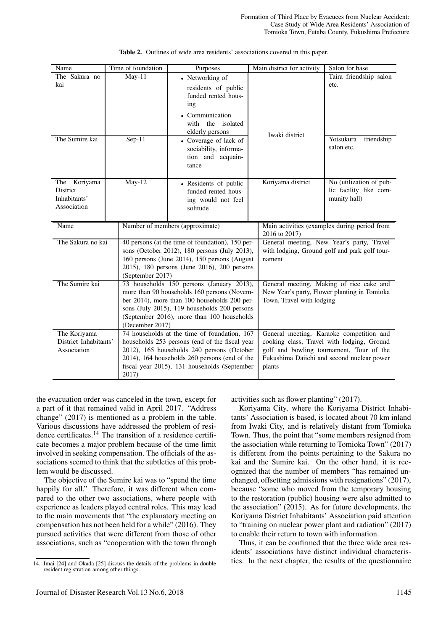| Name                     | Time of foundation | Purposes                                                                                      | Main district for activity | Salon for base                                |
|--------------------------|--------------------|-----------------------------------------------------------------------------------------------|----------------------------|-----------------------------------------------|
| The Sakura no            | $May-11$           | • Networking of                                                                               |                            | Taira friendship salon                        |
| kai                      |                    | residents of public                                                                           |                            | etc.                                          |
|                          |                    | funded rented hous-<br>ing                                                                    |                            |                                               |
|                          |                    | • Communication                                                                               |                            |                                               |
|                          |                    | with the isolated                                                                             |                            |                                               |
|                          |                    | elderly persons                                                                               | Iwaki district             |                                               |
| The Sumire kai           | $Sep-11$           | • Coverage of lack of                                                                         |                            | Yotsukura<br>friendship                       |
|                          |                    | sociability, informa-<br>tion and acquain-                                                    |                            | salon etc.                                    |
|                          |                    | tance                                                                                         |                            |                                               |
|                          |                    |                                                                                               |                            |                                               |
| The Koriyama<br>District | $May-12$           | • Residents of public                                                                         | Koriyama district          | No (utilization of pub-                       |
| Inhabitants'             |                    | funded rented hous-<br>ing would not feel                                                     |                            | lic facility like com-<br>munity hall)        |
| Association              |                    | solitude                                                                                      |                            |                                               |
|                          |                    |                                                                                               |                            |                                               |
| Name                     |                    |                                                                                               |                            |                                               |
|                          |                    | Number of members (approximate)                                                               |                            | Main activities (examples during period from  |
| The Sakura no kai        |                    | 40 persons (at the time of foundation), 150 per-                                              | 2016 to 2017)              | General meeting, New Year's party, Travel     |
|                          |                    | sons (October 2012), 180 persons (July 2013),                                                 |                            | with lodging, Ground golf and park golf tour- |
|                          |                    | 160 persons (June 2014), 150 persons (August                                                  | nament                     |                                               |
|                          |                    | 2015), 180 persons (June 2016), 200 persons                                                   |                            |                                               |
| The Sumire kai           | (September 2017)   | 73 households 150 persons (January 2013),                                                     |                            | General meeting, Making of rice cake and      |
|                          |                    | more than 90 households 160 persons (Novem-                                                   |                            | New Year's party, Flower planting in Tomioka  |
|                          |                    | ber 2014), more than 100 households 200 per-                                                  | Town, Travel with lodging  |                                               |
|                          |                    | sons (July 2015), 119 households 200 persons                                                  |                            |                                               |
|                          | (December 2017)    | (September 2016), more than 100 households                                                    |                            |                                               |
| The Koriyama             |                    | 74 households at the time of foundation, 167                                                  |                            | General meeting, Karaoke competition and      |
| District Inhabitants'    |                    | households 253 persons (end of the fiscal year                                                |                            | cooking class, Travel with lodging, Ground    |
| Association              |                    | 2012), 165 households 240 persons (October                                                    |                            | golf and bowling tournament, Tour of the      |
|                          |                    | 2014), 164 households 260 persons (end of the<br>fiscal year 2015), 131 households (September | plants                     | Fukushima Daiichi and second nuclear power    |

the evacuation order was canceled in the town, except for a part of it that remained valid in April 2017. "Address change" (2017) is mentioned as a problem in the table. Various discussions have addressed the problem of residence certificates.<sup>14</sup> The transition of a residence certificate becomes a major problem because of the time limit involved in seeking compensation. The officials of the associations seemed to think that the subtleties of this problem would be discussed.

The objective of the Sumire kai was to "spend the time happily for all." Therefore, it was different when compared to the other two associations, where people with experience as leaders played central roles. This may lead to the main movements that "the explanatory meeting on compensation has not been held for a while" (2016). They pursued activities that were different from those of other associations, such as "cooperation with the town through activities such as flower planting" (2017).

Koriyama City, where the Koriyama District Inhabitants' Association is based, is located about 70 km inland from Iwaki City, and is relatively distant from Tomioka Town. Thus, the point that "some members resigned from the association while returning to Tomioka Town" (2017) is different from the points pertaining to the Sakura no kai and the Sumire kai. On the other hand, it is recognized that the number of members "has remained unchanged, offsetting admissions with resignations" (2017), because "some who moved from the temporary housing to the restoration (public) housing were also admitted to the association" (2015). As for future developments, the Koriyama District Inhabitants' Association paid attention to "training on nuclear power plant and radiation" (2017) to enable their return to town with information.

Thus, it can be confirmed that the three wide area residents' associations have distinct individual characteristics. In the next chapter, the results of the questionnaire

<sup>14.</sup> Imai [24] and Okada [25] discuss the details of the problems in double resident registration among other things.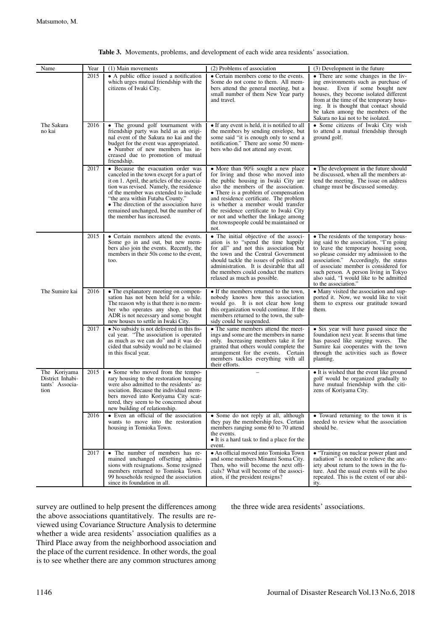| Name                                                        | Year | (1) Main movements                                                                                                                                                                                                                                                                                                                                                       | (2) Problems of association                                                                                                                                                                                                                                                                                                                                                                                            | (3) Development in the future                                                                                                                                                                                                                                                                                                                                     |
|-------------------------------------------------------------|------|--------------------------------------------------------------------------------------------------------------------------------------------------------------------------------------------------------------------------------------------------------------------------------------------------------------------------------------------------------------------------|------------------------------------------------------------------------------------------------------------------------------------------------------------------------------------------------------------------------------------------------------------------------------------------------------------------------------------------------------------------------------------------------------------------------|-------------------------------------------------------------------------------------------------------------------------------------------------------------------------------------------------------------------------------------------------------------------------------------------------------------------------------------------------------------------|
|                                                             | 2015 | • A public office issued a notification<br>which urges mutual friendship with the<br>citizens of Iwaki City.                                                                                                                                                                                                                                                             | • Certain members come to the events.<br>Some do not come to them. All mem-<br>bers attend the general meeting, but a<br>small number of them New Year party<br>and travel.                                                                                                                                                                                                                                            | • There are some changes in the liv-<br>ing environments such as purchase of<br>Even if some bought new<br>house.<br>houses, they become isolated different<br>from at the time of the temporary hous-<br>ing. It is thought that contact should<br>be taken among the members of the<br>Sakura no kai not to be isolated.                                        |
| The Sakura<br>no kai                                        | 2016 | • The ground golf tournament with<br>friendship party was held as an origi-<br>nal event of the Sakura no kai and the<br>budget for the event was appropriated.<br>• Number of new members has in-<br>creased due to promotion of mutual<br>friendship.                                                                                                                  | • If any event is held, it is notified to all<br>the members by sending envelope, but<br>some said "it is enough only to send a<br>notification." There are some 50 mem-<br>bers who did not attend any event.                                                                                                                                                                                                         | • Some citizens of Iwaki City wish<br>to attend a mutual friendship through<br>ground golf.                                                                                                                                                                                                                                                                       |
|                                                             | 2017 | • Because the evacuation order was<br>canceled in the town except for a part of<br>it on 1. April, the articles of the associa-<br>tion was revised. Namely, the residence<br>of the member was extended to include<br>"the area within Futaba County."<br>• The direction of the association have<br>remained unchanged, but the number of<br>the member has increased. | • More than 90% sought a new place<br>for living and those who moved into<br>the public housing in Iwaki City are<br>also the members of the association.<br>• There is a problem of compensation<br>and residence certificate. The problem<br>is whether a member would transfer<br>the residence certificate to Iwaki City<br>or not and whether the linkage among<br>the townspeople could be maintained or<br>not. | • The development in the future should<br>be discussed, when all the members at-<br>tend the meeting. The issue on address<br>change must be discussed someday.                                                                                                                                                                                                   |
|                                                             | 2015 | • Certain members attend the events.<br>Some go in and out, but new mem-<br>bers also join the events. Recently, the<br>members in their 50s come to the event,<br>too.                                                                                                                                                                                                  | • The initial objective of the associ-<br>ation is to "spend the time happily<br>for all" and not this association but<br>the town and the Central Government<br>should tackle the issues of politics and<br>administration. It is desirable that all<br>the members could conduct the matters<br>relaxed as much as possible.                                                                                         | • The residents of the temporary hous-<br>ing said to the association, "I'm going<br>to leave the temporary housing soon,<br>so please consider my admission to the<br>association." Accordingly, the status<br>of associate member is considered for<br>such person. A person living in Tokyo<br>also said, "I would like to be admitted<br>to the association." |
| The Sumire kai                                              | 2016 | • The explanatory meeting on compen-<br>sation has not been held for a while.<br>The reason why is that there is no mem-<br>ber who operates any shop, so that<br>ADR is not necessary and some bought<br>new houses to settle in Iwaki City.                                                                                                                            | • If the members returned to the town,<br>nobody knows how this association<br>would go. It is not clear how long<br>this organization would continue. If the<br>members returned to the town, the sub-<br>sidy could be suspended.                                                                                                                                                                                    | • Many visited the association and sup-<br>ported it. Now, we would like to visit<br>them to express our gratitude toward<br>them.                                                                                                                                                                                                                                |
|                                                             | 2017 | • No subsidy is not delivered in this fis-<br>cal year. "The association is operated<br>as much as we can do" and it was de-<br>cided that subsidy would no be claimed<br>in this fiscal year.                                                                                                                                                                           | • The same members attend the meet-<br>ings and some are the members in name.<br>only. Increasing members take it for<br>granted that others would complete the<br>arrangement for the events. Certain<br>members tackles everything with all<br>their efforts.                                                                                                                                                        | • Six year will have passed since the<br>foundation next year. It seems that time<br>has passed like surging waves. The<br>Sumire kai cooperates with the town<br>through the activities such as flower<br>planting.                                                                                                                                              |
| The Koriyama<br>District Inhabi-<br>tants' Associa-<br>tion | 2015 | • Some who moved from the tempo-<br>rary housing to the restoration housing<br>were also admitted to the residents' as-<br>sociation. Because the individual mem-<br>bers moved into Koriyama City scat-<br>tered, they seem to be concerned about<br>new building of relationship.                                                                                      |                                                                                                                                                                                                                                                                                                                                                                                                                        | • It is wished that the event like ground<br>golf would be organized gradually to<br>have mutual friendship with the citi-<br>zens of Koriyama City.                                                                                                                                                                                                              |
|                                                             | 2016 | • Even an official of the association<br>wants to move into the restoration<br>housing in Tomioka Town.                                                                                                                                                                                                                                                                  | • Some do not reply at all, although<br>they pay the membership fees. Certain<br>members ranging some 60 to 70 attend<br>the events.<br>• It is a hard task to find a place for the<br>event.                                                                                                                                                                                                                          | • Toward returning to the town it is<br>needed to review what the association<br>should be.                                                                                                                                                                                                                                                                       |
|                                                             | 2017 | • The number of members has re-<br>mained unchanged offsetting admis-<br>sions with resignations. Some resigned<br>members returned to Tomioka Town.<br>99 households resigned the association<br>since its foundation in all.                                                                                                                                           | • An official moved into Tomioka Town<br>and some members Minami Soma City.<br>Then, who will become the next offi-<br>cials? What will become of the associ-<br>ation, if the president resigns?                                                                                                                                                                                                                      | • "Training on nuclear power plant and<br>radiation" is needed to relieve the anx-<br>iety about return to the town in the fu-<br>ture. And the usual events will be also<br>repeated. This is the extent of our abil-<br>ity.                                                                                                                                    |

#### Table 3. Movements, problems, and development of each wide area residents' association.

survey are outlined to help present the differences among the above associations quantitatively. The results are reviewed using Covariance Structure Analysis to determine whether a wide area residents' association qualifies as a Third Place away from the neighborhood association and the place of the current residence. In other words, the goal is to see whether there are any common structures among

the three wide area residents' associations.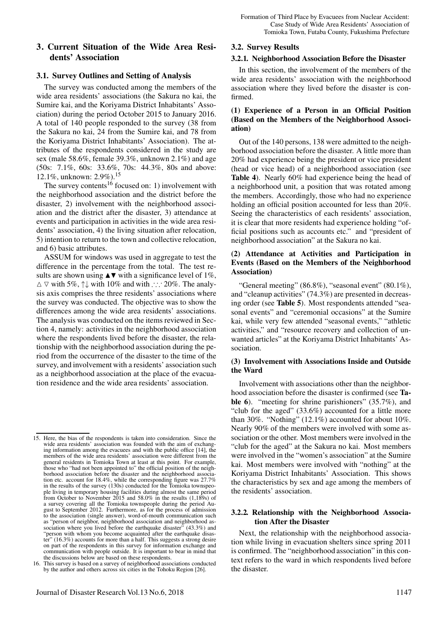# 3. Current Situation of the Wide Area Residents' Association

#### 3.1. Survey Outlines and Setting of Analysis

The survey was conducted among the members of the wide area residents' associations (the Sakura no kai, the Sumire kai, and the Koriyama District Inhabitants' Association) during the period October 2015 to January 2016. A total of 140 people responded to the survey (38 from the Sakura no kai, 24 from the Sumire kai, and 78 from the Koriyama District Inhabitants' Association). The attributes of the respondents considered in the study are sex (male 58.6%, female 39.3%, unknown 2.1%) and age (50s: 7.1%, 60s: 33.6%, 70s: 44.3%, 80s and above: 12.1%, unknown: 2.9%).<sup>15</sup>

The survey contents<sup>16</sup> focused on: 1) involvement with the neighborhood association and the district before the disaster, 2) involvement with the neighborhood association and the district after the disaster, 3) attendance at events and participation in activities in the wide area residents' association, 4) the living situation after relocation, 5) intention to return to the town and collective relocation, and 6) basic attributes.

ASSUM for windows was used in aggregate to test the difference in the percentage from the total. The test results are shown using  $\triangle$   $\blacktriangledown$  with a significance level of 1%,  $\Delta \nabla$  with 5%,  $\uparrow \downarrow$  with 10% and with ∴∴ 20%. The analysis axis comprises the three residents' associations where the survey was conducted. The objective was to show the differences among the wide area residents' associations. The analysis was conducted on the items reviewed in Section 4, namely: activities in the neighborhood association where the respondents lived before the disaster, the relationship with the neighborhood association during the period from the occurrence of the disaster to the time of the survey, and involvement with a residents' association such as a neighborhood association at the place of the evacuation residence and the wide area residents' association.

# Journal of Disaster Research Vol.13 No.6, 2018 1147

## 3.2. Survey Results

#### 3.2.1. Neighborhood Association Before the Disaster

In this section, the involvement of the members of the wide area residents' association with the neighborhood association where they lived before the disaster is confirmed.

## (1) Experience of a Person in an Official Position (Based on the Members of the Neighborhood Association)

Out of the 140 persons, 138 were admitted to the neighborhood association before the disaster. A little more than 20% had experience being the president or vice president (head or vice head) of a neighborhood association (see Table 4). Nearly 60% had experience being the head of a neighborhood unit, a position that was rotated among the members. Accordingly, those who had no experience holding an official position accounted for less than 20%. Seeing the characteristics of each residents' association, it is clear that more residents had experience holding "official positions such as accounts etc." and "president of neighborhood association" at the Sakura no kai.

## (2) Attendance at Activities and Participation in Events (Based on the Members of the Neighborhood Association)

"General meeting"  $(86.8\%)$ , "seasonal event"  $(80.1\%)$ , and "cleanup activities" (74.3%) are presented in decreasing order (see Table 5). Most respondents attended "seasonal events" and "ceremonial occasions" at the Sumire kai, while very few attended "seasonal events," "athletic activities," and "resource recovery and collection of unwanted articles" at the Koriyama District Inhabitants' Association.

#### (3) Involvement with Associations Inside and Outside the Ward

Involvement with associations other than the neighborhood association before the disaster is confirmed (see Table 6). "meeting for shrine parishioners" (35.7%), and "club for the aged" (33.6%) accounted for a little more than 30%. "Nothing" (12.1%) accounted for about 10%. Nearly 90% of the members were involved with some association or the other. Most members were involved in the "club for the aged" at the Sakura no kai. Most members were involved in the "women's association" at the Sumire kai. Most members were involved with "nothing" at the Koriyama District Inhabitants' Association. This shows the characteristics by sex and age among the members of the residents' association.

### 3.2.2. Relationship with the Neighborhood Association After the Disaster

Next, the relationship with the neighborhood association while living in evacuation shelters since spring 2011 is confirmed. The "neighborhood association" in this context refers to the ward in which respondents lived before the disaster.

<sup>15.</sup> Here, the bias of the respondents is taken into consideration. Since the wide area residents' association was founded with the aim of exchanging information among the evacuees and with the public office [14], the members of the wide area residents' association were different from the general residents in Tomioka Town at least at this point. For example, those who "had not been appointed to" the official position of the neighborhood association before the disaster and the neighborhood association etc. account for 18.4%, while the corresponding figure was 27.7% in the results of the survey (130s) conducted for the Tomioka townspeople living in temporary housing facilities during almost the same period from October to November 2015 and 58.0% in the results (1,189s) of a survey covering all the Tomioka townspeople during the period August to September 2012. Furthermore, as for the process of admission to the association (single answer), word-of-mouth communication such as "person of neighbor, neighborhood association and neighborhood association where you lived before the earthquake disaster" (43.3%) and "person with whom you become acquainted after the earthquake disaster" (16.3%) accounts for more than a half. This suggests a strong desire on part of the respondents in this survey for information exchange and communication with people outside. It is important to bear in mind that the discussions below are based on these respondents.

<sup>16.</sup> This survey is based on a survey of neighborhood associations conducted by the author and others across six cities in the Tohoku Region [26].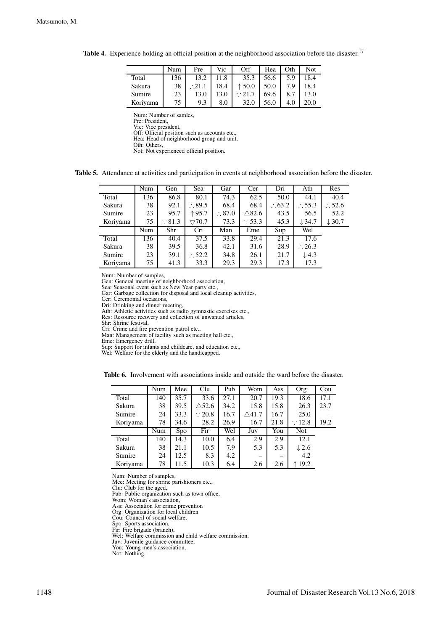|          | Num | Pre          | Vic  | Off             | Hea  | Oth | Not  |
|----------|-----|--------------|------|-----------------|------|-----|------|
| Total    | 136 | 13.2         | 11.8 | 35.3            | 56.6 | 5.9 | 18.4 |
| Sakura   | 38  | $\cdot$ 21.1 | 18.4 | $\uparrow$ 50.0 | 50.0 | 7.9 | 18.4 |
| Sumire   | 23  | 13.0         | 13.0 | $\cdot$ 21.7    | 69.6 | 8.7 | 13.0 |
| Koriyama | 75  | 9.3          | 8.0  | 32.0            | 56.0 | 4.0 | 20.0 |

Table 4. Experience holding an official position at the neighborhood association before the disaster.<sup>17</sup>

Pre: President, Vic: Vice president,

Off: Official position such as accounts etc., Hea: Head of neighborhood group and unit,

Oth: Others,

Not: Not experienced official position.

Table 5. Attendance at activities and participation in events at neighborhood association before the disaster.

|          | Num | Gen               | Sea                    | Gar               | Cer               | Dri               | Ath               | Res               |
|----------|-----|-------------------|------------------------|-------------------|-------------------|-------------------|-------------------|-------------------|
| Total    | 136 | 86.8              | 80.1                   | 74.3              | 62.5              | 50.0              | 44.1              | 40.4              |
| Sakura   | 38  | 92.1              | $\therefore$ 89.5      | 68.4              | 68.4              | $\therefore 63.2$ | $\therefore$ 55.3 | $\therefore$ 52.6 |
| Sumire   | 23  | 95.7              | ↑95.7                  | $\therefore$ 87.0 | $\triangle$ 82.6  | 43.5              | 56.5              | 52.2              |
| Koriyama | 75  | $\therefore$ 81.3 | $\bigtriangledown70.7$ | 73.3              | $\therefore$ 53.3 | 45.3              | $\downarrow$ 34.7 | $\downarrow$ 30.7 |
|          | Num | Shr               | Cri                    | Man               | Eme               | Sup               | Wel               |                   |
| Total    | 136 | 40.4              | 37.5                   | 33.8              | 29.4              | 21.3              | 17.6              |                   |
| Sakura   | 38  | 39.5              | 36.8                   | 42.1              | 31.6              | 28.9              | $\therefore$ 26.3 |                   |
| Sumire   | 23  | 39.1              | $\therefore$ 52.2      | 34.8              | 26.1              | 21.7              | $\downarrow$ 4.3  |                   |
| Koriyama | 75  | 41.3              | 33.3                   | 29.3              | 29.3              | 17.3              | 17.3              |                   |

Num: Number of samples,

Gen: General meeting of neighborhood association,

Sea: Seasonal event such as New Year party etc.,

Gar: Garbage collection for disposal and local cleanup activities,

Cer: Ceremonial occasions,

Dri: Drinking and dinner meeting, Ath: Athletic activities such as radio gymnastic exercises etc.,

Res: Resource recovery and collection of unwanted articles,

Shr: Shrine festival,

Cri: Crime and fire prevention patrol etc.,

Man: Management of facility such as meeting hall etc.,

Eme: Emergency drill,

Sup: Support for infants and childcare, and education etc.,

Wel: Welfare for the elderly and the handicapped.

Table 6. Involvement with associations inside and outside the ward before the disaster.

|          | Num | Mee  | Clu               | Pub  | Wom              | Ass  | Org               | Cou  |
|----------|-----|------|-------------------|------|------------------|------|-------------------|------|
| Total    | 140 | 35.7 | 33.6              | 27.1 | 20.7             | 19.3 | 18.6              | 17.1 |
| Sakura   | 38  | 39.5 | $\triangle$ 52.6  | 34.2 | 15.8             | 15.8 | 26.3              | 23.7 |
| Sumire   | 24  | 33.3 | $\therefore$ 20.8 | 16.7 | $\triangle 41.7$ | 16.7 | 25.0              |      |
| Koriyama | 78  | 34.6 | 28.2              | 26.9 | 16.7             | 21.8 | $\therefore$ 12.8 | 19.2 |
|          | Num | Spo. | Fir               | Wel  | Juv              | You  | <b>Not</b>        |      |
| Total    | 140 | 14.3 | 10.0              | 6.4  | 2.9              | 2.9  | 12.1              |      |
| Sakura   | 38  | 21.1 | 10.5              | 7.9  | 5.3              | 5.3  | $\downarrow$ 2.6  |      |
| Sumire   | 24  | 12.5 | 8.3               | 4.2  | —                |      | 4.2               |      |
| Koriyama | 78  | 11.5 | 10.3              | 6.4  | 2.6              | 2.6  | 19.2              |      |

Num: Number of samples, Mee: Meeting for shrine parishioners etc.,

Clu: Club for the aged,

Pub: Public organization such as town office,

Wom: Woman's association,

Ass: Association for crime prevention Org: Organization for local children

Cou: Council of social welfare,

Spo: Sports association, Fir: Fire brigade (branch),

Wel: Welfare commission and child welfare commission,

Juv: Juvenile guidance committee,

You: Young men's association, Not: Nothing.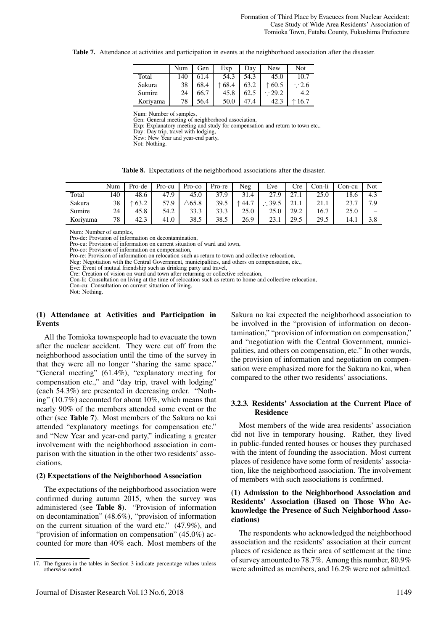Table 7. Attendance at activities and participation in events at the neighborhood association after the disaster.

|          | Num | Gen  | Exp             | Day  | <b>New</b>      | Not             |
|----------|-----|------|-----------------|------|-----------------|-----------------|
| Total    | 140 | 61.4 | 54.3            | 54.3 | 45.0            | 10.7            |
| Sakura   | 38  | 68.4 | $\uparrow$ 68.4 | 63.2 | $\uparrow$ 60.5 | $\cdot$ 2.6     |
| Sumire   | 24  | 66.7 | 45.8            | 62.5 | $\cdot$ 29.2    | 4.2             |
| Koriyama | 78  | 56.4 | 50.0            |      | 42.3            | $\uparrow$ 16.7 |

Gen: General meeting of neighborhood association,

Exp: Explanatory meeting and study for compensation and return to town etc.,

Day: Day trip, travel with lodging,

New: New Year and year-end party,

Not: Nothing.

|  |  |  | Table 8. Expectations of the neighborhood associations after the disaster. |  |  |  |
|--|--|--|----------------------------------------------------------------------------|--|--|--|
|--|--|--|----------------------------------------------------------------------------|--|--|--|

|          | Num | Pro-de          | Pro-cu | Pro-co           | Pro-re | Neg  | Eve  | Cre  | Con-li | Con-cu | Not |
|----------|-----|-----------------|--------|------------------|--------|------|------|------|--------|--------|-----|
| Total    | 140 | 48.6            | 47.9   | 45.0             | 37.9   | 31.4 | 27.9 | 27   | 25.0   | 18.6   | 4.3 |
| Sakura   | 38  | $\uparrow$ 63.2 | 57.9   | $\triangle 65.8$ | 39.5   | 44.7 | 39.5 | 41.1 | 21 I   | 23.7   | 7.9 |
| Sumire   | 24  | 45.8            | 54.2   | 33.3             | 33.3   | 25.0 | 25.0 | 29.2 | 16.7   | 25.0   |     |
| Koriyama | 78  | 42.3            | 41.0   | 38.5             | 38.5   | 26.9 | 23.1 | 29.5 | 29.5   | 14.1   | 3.8 |

Num: Number of samples,

Pro-de: Provision of information on decontamination,

Pro-cu: Provision of information on current situation of ward and town,

Pro-co: Provision of information on compensation,

Pro-re: Provision of information on relocation such as return to town and collective relocation,

Neg: Negotiation with the Central Government, municipalities, and others on compensation, etc., Eve: Event of mutual friendship such as drinking party and travel,

Cre: Creation of vision on ward and town after returning or collective relocation,

Con-li: Consultation on living at the time of relocation such as return to home and collective relocation,

Con-cu: Consultation on current situation of living,

Not: Nothing.

#### (1) Attendance at Activities and Participation in Events

All the Tomioka townspeople had to evacuate the town after the nuclear accident. They were cut off from the neighborhood association until the time of the survey in that they were all no longer "sharing the same space." "General meeting" (61.4%), "explanatory meeting for compensation etc.," and "day trip, travel with lodging" (each 54.3%) are presented in decreasing order. "Nothing" (10.7%) accounted for about 10%, which means that nearly 90% of the members attended some event or the other (see Table 7). Most members of the Sakura no kai attended "explanatory meetings for compensation etc." and "New Year and year-end party," indicating a greater involvement with the neighborhood association in comparison with the situation in the other two residents' associations.

#### (2) Expectations of the Neighborhood Association

The expectations of the neighborhood association were confirmed during autumn 2015, when the survey was administered (see Table 8). "Provision of information on decontamination" (48.6%), "provision of information on the current situation of the ward etc." (47.9%), and "provision of information on compensation" (45.0%) accounted for more than 40% each. Most members of the

Sakura no kai expected the neighborhood association to be involved in the "provision of information on decontamination," "provision of information on compensation," and "negotiation with the Central Government, municipalities, and others on compensation, etc." In other words, the provision of information and negotiation on compensation were emphasized more for the Sakura no kai, when compared to the other two residents' associations.

#### 3.2.3. Residents' Association at the Current Place of Residence

Most members of the wide area residents' association did not live in temporary housing. Rather, they lived in public-funded rented houses or houses they purchased with the intent of founding the association. Most current places of residence have some form of residents' association, like the neighborhood association. The involvement of members with such associations is confirmed.

## (1) Admission to the Neighborhood Association and Residents' Association (Based on Those Who Acknowledge the Presence of Such Neighborhood Associations)

The respondents who acknowledged the neighborhood association and the residents' association at their current places of residence as their area of settlement at the time of survey amounted to 78.7%. Among this number, 80.9% were admitted as members, and 16.2% were not admitted.

<sup>17.</sup> The figures in the tables in Section 3 indicate percentage values unless otherwise noted.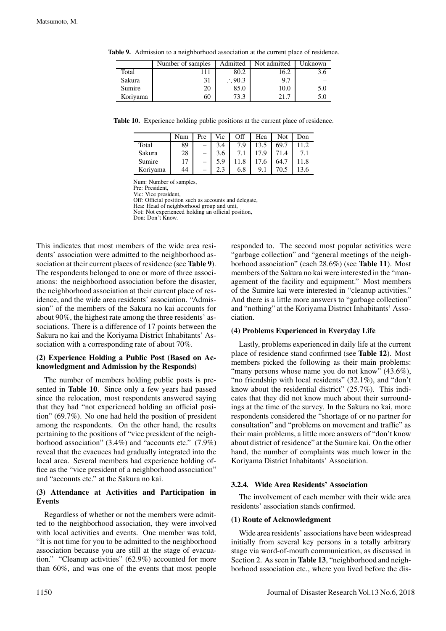|          | Number of samples | Admitted          | Not admitted | Unknown |
|----------|-------------------|-------------------|--------------|---------|
| Total    |                   | 80.2              | 16.2         |         |
| Sakura   | 31                | $\therefore$ 90.3 | 9.7          |         |
| Sumire   | 20                | 85.0              | 10.0         | 5.0     |
| Koriyama | 60                | 73.3              | 21.7         | 5.0     |

Table 9. Admission to a neighborhood association at the current place of residence.

Table 10. Experience holding public positions at the current place of residence.

|          | Num | Pre | Vic | Off | Hea  | Not  | Don  |
|----------|-----|-----|-----|-----|------|------|------|
| Total    | 89  |     | 3.4 | 7.9 | 13.5 | 69.7 | 1.2  |
| Sakura   | 28  |     | 3.6 |     | 17.9 | 71.4 |      |
| Sumire   | 17  |     | 5.9 |     | .6   | 64.  | 11.8 |
| Koriyama | 44  |     |     | 6.8 | 9.1  |      | 3.6  |

Pre: President, Vic: Vice president,

Off: Official position such as accounts and delegate,

Hea: Head of neighborhood group and unit,

Not: Not experienced holding an official position,

Don: Don't Know.

This indicates that most members of the wide area residents' association were admitted to the neighborhood association at their current places of residence (see **Table 9**). The respondents belonged to one or more of three associations: the neighborhood association before the disaster, the neighborhood association at their current place of residence, and the wide area residents' association. "Admission" of the members of the Sakura no kai accounts for about 90%, the highest rate among the three residents' associations. There is a difference of 17 points between the Sakura no kai and the Koriyama District Inhabitants' Association with a corresponding rate of about 70%.

## (2) Experience Holding a Public Post (Based on Acknowledgment and Admission by the Responds)

The number of members holding public posts is presented in Table 10. Since only a few years had passed since the relocation, most respondents answered saying that they had "not experienced holding an official position" (69.7%). No one had held the position of president among the respondents. On the other hand, the results pertaining to the positions of "vice president of the neighborhood association" (3.4%) and "accounts etc." (7.9%) reveal that the evacuees had gradually integrated into the local area. Several members had experience holding office as the "vice president of a neighborhood association" and "accounts etc." at the Sakura no kai.

# (3) Attendance at Activities and Participation in Events

Regardless of whether or not the members were admitted to the neighborhood association, they were involved with local activities and events. One member was told, "It is not time for you to be admitted to the neighborhood association because you are still at the stage of evacuation." "Cleanup activities" (62.9%) accounted for more than 60%, and was one of the events that most people responded to. The second most popular activities were "garbage collection" and "general meetings of the neighborhood association" (each 28.6%) (see Table 11). Most members of the Sakura no kai were interested in the "management of the facility and equipment." Most members of the Sumire kai were interested in "cleanup activities." And there is a little more answers to "garbage collection" and "nothing" at the Koriyama District Inhabitants' Association.

## (4) Problems Experienced in Everyday Life

Lastly, problems experienced in daily life at the current place of residence stand confirmed (see Table 12). Most members picked the following as their main problems: "many persons whose name you do not know" (43.6%), "no friendship with local residents" (32.1%), and "don't know about the residential district" (25.7%). This indicates that they did not know much about their surroundings at the time of the survey. In the Sakura no kai, more respondents considered the "shortage of or no partner for consultation" and "problems on movement and traffic" as their main problems, a little more answers of "don't know about district of residence" at the Sumire kai. On the other hand, the number of complaints was much lower in the Koriyama District Inhabitants' Association.

## 3.2.4. Wide Area Residents' Association

The involvement of each member with their wide area residents' association stands confirmed.

## (1) Route of Acknowledgment

Wide area residents' associations have been widespread initially from several key persons in a totally arbitrary stage via word-of-mouth communication, as discussed in Section 2. As seen in Table 13, "neighborhood and neighborhood association etc., where you lived before the dis-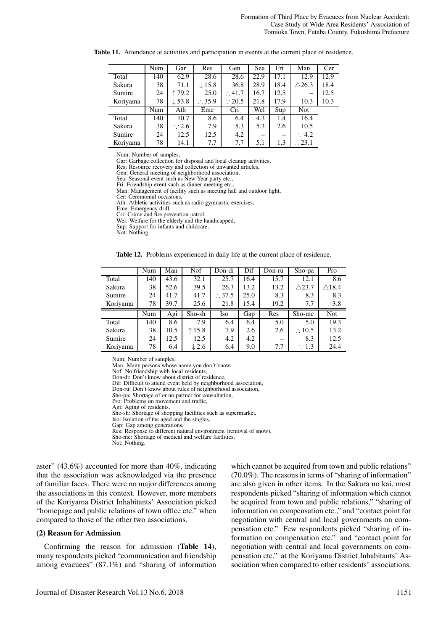|          | Num | Gar               | Res               | Gen               | Sea  | Fri  | Man              | Cer  |
|----------|-----|-------------------|-------------------|-------------------|------|------|------------------|------|
| Total    | 140 | 62.9              | 28.6              | 28.6              | 22.9 | 17.1 | 12.9             | 12.9 |
| Sakura   | 38  | 71.1              | $\downarrow$ 15.8 | 36.8              | 28.9 | 18.4 | $\triangle$ 26.3 | 18.4 |
| Sumire   | 24  | 179.2             | 25.0              | $\therefore 41.7$ | 16.7 | 12.5 |                  | 12.5 |
| Koriyama | 78  | $\downarrow$ 53.8 | $\therefore$ 35.9 | $\therefore$ 20.5 | 21.8 | 17.9 | 10.3             | 10.3 |
|          | Num | Ath               | Eme               | Cri               | Wel  | Sup  | Not              |      |
| Total    | 140 | 10.7              | 8.6               | 6.4               | 4.3  | 1.4  | 16.4             |      |
| Sakura   | 38  | $\therefore$ 2.6  | 7.9               | 5.3               | 5.3  | 2.6  | 10.5             |      |
| Sumire   | 24  | 12.5              | 12.5              | 4.2               |      |      | $\therefore$ 4.2 |      |
| Koriyama | 78  | 14.1              | 7.7               | 7.7               | 5.1  | 1.3  | $\cdot$ 23.1     |      |

Table 11. Attendance at activities and participation in events at the current place of residence.

Gar: Garbage collection for disposal and local cleanup activities, Res: Resource recovery and collection of unwanted articles,

Gen: General meeting of neighborhood association,

Sea: Seasonal event such as New Year party etc.,

Fri: Friendship event such as dinner meeting etc.

Man: Management of facility such as meeting hall and outdoor light,

Cer: Ceremonial occasions Ath: Athletic activities such as radio gymnastic exercises,

Eme: Emergency drill,

Cri: Crime and fire prevention patrol, Wel: Welfare for the elderly and the handicapped,

Sup: Support for infants and childcare,

Not: Nothing.

Table 12. Problems experienced in daily life at the current place of residence.

|          | Num | Man  | Nof             | Don-di            | Dif  | Don-ru | Sho-pa            | Pro              |
|----------|-----|------|-----------------|-------------------|------|--------|-------------------|------------------|
| Total    | 140 | 43.6 | 32.1            | 25.7              | 16.4 | 15.7   | 12.1              | 8.6              |
| Sakura   | 38  | 52.6 | 39.5            | 26.3              | 13.2 | 13.2   | $\triangle$ 23.7  | $\triangle$ 18.4 |
| Sumire   | 24  | 41.7 | 41.7            | $\therefore$ 37.5 | 25.0 | 8.3    | 8.3               | 8.3              |
| Koriyama | 78  | 39.7 | 25.6            | 21.8              | 15.4 | 19.2   | 7.7               | $\therefore$ 3.8 |
|          |     |      |                 |                   |      |        |                   |                  |
|          | Num | Agi  | Sho-sh          | Iso               | Gap  | Res    | Sho-me            | <b>Not</b>       |
| Total    | 140 | 8.6  | 7.9             | 6.4               | 6.4  | 5.0    | 5.0               | 19.3             |
| Sakura   | 38  | 10.5 | $\uparrow$ 15.8 | 7.9               | 2.6  | 2.6    | $\therefore$ 10.5 | 13.2             |
| Sumire   | 24  | 12.5 | 12.5            | 4.2               | 4.2  |        | 8.3               | 12.5             |

Num: Number of samples,

Man: Many persons whose name you don't know,

Nof: No friendship with local residents,

Don-di: Don't know about district of residence.

Dif: Difficult to attend event held by neighborhood association,

Don-ru: Don't know about rules of neighborhood association, Sho-pa: Shortage of or no partner for consultation,

Pro: Problems on movement and traffic,

Agi: Aging of residents,

Sho-sh: Shortage of shopping facilities such as supermarket,

Iso: Isolation of the aged and the singles,

Gap: Gap among generations.

Res: Response to different natural environment (removal of snow),

Sho-me: Shortage of medical and welfare facilities,

Not: Nothing.

aster" (43.6%) accounted for more than 40%, indicating that the association was acknowledged via the presence of familiar faces. There were no major differences among the associations in this context. However, more members of the Koriyama District Inhabitants' Association picked "homepage and public relations of town office etc." when compared to those of the other two associations.

#### (2) Reason for Admission

Confirming the reason for admission (Table 14), many respondents picked "communication and friendship among evacuees" (87.1%) and "sharing of information which cannot be acquired from town and public relations" (70.0%). The reasons in terms of "sharing of information" are also given in other items. In the Sakura no kai, most respondents picked "sharing of information which cannot be acquired from town and public relations," "sharing of information on compensation etc.," and "contact point for negotiation with central and local governments on compensation etc." Few respondents picked "sharing of information on compensation etc." and "contact point for negotiation with central and local governments on compensation etc." at the Koriyama District Inhabitants' Association when compared to other residents' associations.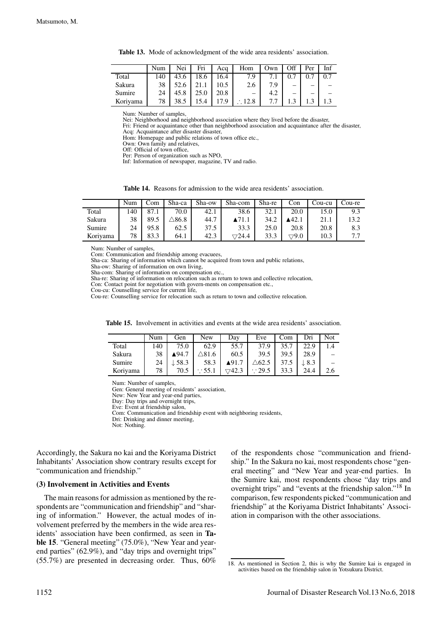Table 13. Mode of acknowledgment of the wide area residents' association.

|          | Num | Nei  | Fri  | Aca  | Hom               | Own | Off | Per | Inf |
|----------|-----|------|------|------|-------------------|-----|-----|-----|-----|
| Total    | 140 | 43.6 | 18.6 | 16.4 | 7.9               |     |     |     |     |
| Sakura   | 38  | 52.6 |      | 10.5 | 2.6               | 7.9 |     |     |     |
| Sumire   | 24  |      | 25.0 | 20.8 |                   | 4.2 |     |     |     |
| Koriyama | 78  | 38.5 | 5.4  | 7.9  | $\therefore$ 12.8 | 77  |     |     |     |

Nei: Neighborhood and neighborhood association where they lived before the disaster,

Fri: Friend or acquaintance other than neighborhood association and acquaintance after the disaster, Acq: Acquaintance after disaster disaster,

Hom: Homepage and public relations of town office etc.,

Own: Own family and relatives,

Off: Official of town office,

Per: Person of organization such as NPO,

Inf: Information of newspaper, magazine, TV and radio.

Table 14. Reasons for admission to the wide area residents' association.

|          | Num | Com  | Sha-ca        | Sha-ow | Sha-com                | Sha-re | Con  | Cou-cu | Cou-re |
|----------|-----|------|---------------|--------|------------------------|--------|------|--------|--------|
| Total    | 140 | 87.1 | 70.0          | 42.1   | 38.6                   | 32.1   | 20.0 | 15.0   | 9.3    |
| Sakura   | 38  | 89.5 | $\Delta 86.8$ | 44.7   |                        | 34.2   | 42.1 | 21.1   | 13.2   |
| Sumire   | 24  | 95.8 | 62.5          | 37.5   | 33.3                   | 25.0   | 20.8 | 20.8   | 8.3    |
| Koriyama | 78  | 83.3 | 64.1          | 42.3   | $\bigtriangledown24.4$ | 33.3   | 79.0 | 10.3   | .      |

Num: Number of samples,

Com: Communication and friendship among evacuees,

Sha-ca: Sharing of information which cannot be acquired from town and public relations,

Sha-ow: Sharing of information on own living,

Sha-com: Sharing of information on compensation etc.,

Sha-re: Sharing of information on relocation such as return to town and collective relocation,

Con: Contact point for negotiation with govern-ments on compensation etc., Cou-cu: Counselling service for current life,

Cou-re: Counselling service for relocation such as return to town and collective relocation.

|          | Num | Gen               | New          | Dav                   | Eve              | Com  | Dri              | Not |
|----------|-----|-------------------|--------------|-----------------------|------------------|------|------------------|-----|
| Total    | 140 | 75.0              | 62.9         | 55.7                  | 37.9             | 35.7 | 22.9             | 1.4 |
| Sakura   | 38  | ▲94.7             | $\Delta81.6$ | 60.5                  | 39.5             | 39.5 | 28.9             |     |
| Sumire   | 24  | $\downarrow$ 58.3 | 58.3         | $\blacktriangle$ 91.7 | $\triangle 62.5$ | 37.5 | $\downarrow$ 8.3 |     |
| Koriyama | 78  | 70.5              | $\cdot$ 55.1 | 42.3                  | $\cdot$ 29.5     | 33.3 | 24.4             | 2.6 |

Num: Number of samples,

Gen: General meeting of residents' association,

New: New Year and year-end parties,

Day: Day trips and overnight trips, Eve: Event at friendship salon,

Com: Communication and friendship event with neighboring residents,

Dri: Drinking and dinner meeting,

Not: Nothing.

Accordingly, the Sakura no kai and the Koriyama District Inhabitants' Association show contrary results except for "communication and friendship."

#### (3) Involvement in Activities and Events

The main reasons for admission as mentioned by the respondents are "communication and friendship" and "sharing of information." However, the actual modes of involvement preferred by the members in the wide area residents' association have been confirmed, as seen in Table 15. "General meeting" (75.0%), "New Year and yearend parties" (62.9%), and "day trips and overnight trips" (55.7%) are presented in decreasing order. Thus, 60%

of the respondents chose "communication and friendship." In the Sakura no kai, most respondents chose "general meeting" and "New Year and year-end parties. In the Sumire kai, most respondents chose "day trips and overnight trips" and "events at the friendship salon."<sup>18</sup> In comparison, few respondents picked "communication and friendship" at the Koriyama District Inhabitants' Association in comparison with the other associations.

<sup>18.</sup> As mentioned in Section 2, this is why the Sumire kai is engaged in activities based on the friendship salon in Yotsukura District.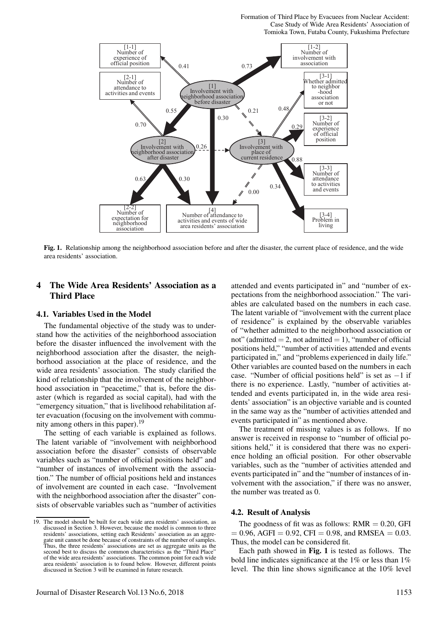Formation of Third Place by Evacuees from Nuclear Accident: Case Study of Wide Area Residents' Association of Tomioka Town, Futaba County, Fukushima Prefecture



Fig. 1. Relationship among the neighborhood association before and after the disaster, the current place of residence, and the wide area residents' association.

# 4 The Wide Area Residents' Association as a Third Place

#### 4.1. Variables Used in the Model

The fundamental objective of the study was to understand how the activities of the neighborhood association before the disaster influenced the involvement with the neighborhood association after the disaster, the neighborhood association at the place of residence, and the wide area residents' association. The study clarified the kind of relationship that the involvement of the neighborhood association in "peacetime," that is, before the disaster (which is regarded as social capital), had with the "emergency situation," that is livelihood rehabilitation after evacuation (focusing on the involvement with community among others in this paper).<sup>19</sup>

The setting of each variable is explained as follows. The latent variable of "involvement with neighborhood association before the disaster" consists of observable variables such as "number of official positions held" and "number of instances of involvement with the association." The number of official positions held and instances of involvement are counted in each case. "Involvement with the neighborhood association after the disaster" consists of observable variables such as "number of activities

attended and events participated in" and "number of expectations from the neighborhood association." The variables are calculated based on the numbers in each case. The latent variable of "involvement with the current place of residence" is explained by the observable variables of "whether admitted to the neighborhood association or not" (admitted  $= 2$ , not admitted  $= 1$ ), "number of official positions held," "number of activities attended and events participated in," and "problems experienced in daily life." Other variables are counted based on the numbers in each case. "Number of official positions held" is set as −1 if there is no experience. Lastly, "number of activities attended and events participated in, in the wide area residents' association" is an objective variable and is counted in the same way as the "number of activities attended and events participated in" as mentioned above.

The treatment of missing values is as follows. If no answer is received in response to "number of official positions held," it is considered that there was no experience holding an official position. For other observable variables, such as the "number of activities attended and events participated in" and the "number of instances of involvement with the association," if there was no answer, the number was treated as 0.

#### 4.2. Result of Analysis

Each path showed in Fig. 1 is tested as follows. The bold line indicates significance at the 1% or less than 1% level. The thin line shows significance at the 10% level

<sup>19.</sup> The model should be built for each wide area residents' association, as discussed in Section 3. However, because the model is common to three residents' associations, setting each Residents' association as an aggregate unit cannot be done because of constraints of the number of samples. Thus, the three residents' associations are set as aggregate units as the second best to discuss the common characteristics as the "Third Place" of the wide area residents' associations. The common point for each wide area residents' association is to found below. However, different points discussed in Section 3 will be examined in future research.

The goodness of fit was as follows:  $RMR = 0.20$ , GFI  $= 0.96$ , AGFI  $= 0.92$ , CFI  $= 0.98$ , and RMSEA  $= 0.03$ . Thus, the model can be considered fit.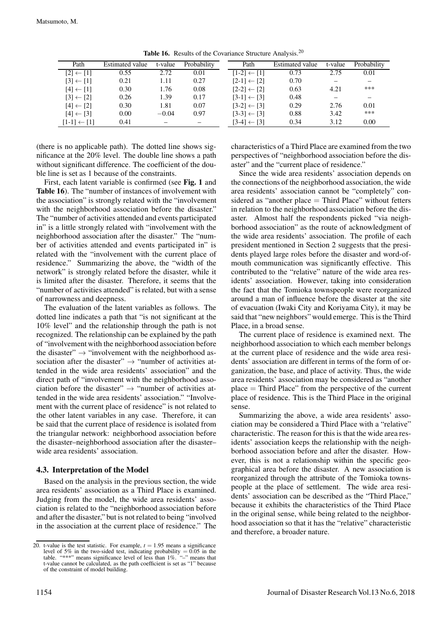| Path                   | Estimated value | t-value | Probability | Path                   | <b>Estimated value</b> | t-value | Probability |
|------------------------|-----------------|---------|-------------|------------------------|------------------------|---------|-------------|
| $[2] \leftarrow [1]$   | 0.55            | 2.72    | 0.01        | $[1-2] \leftarrow [1]$ | 0.73                   | 2.75    | 0.01        |
| $[3] \leftarrow [1]$   | 0.21            | 1.11    | 0.27        | $[2-1] \leftarrow [2]$ | 0.70                   |         |             |
| $[4] \leftarrow [1]$   | 0.30            | 1.76    | 0.08        | $[2-2] \leftarrow [2]$ | 0.63                   | 4.21    | ***         |
| $[3] \leftarrow [2]$   | 0.26            | 1.39    | 0.17        | $[3-1] \leftarrow [3]$ | 0.48                   |         |             |
| $[4] \leftarrow [2]$   | 0.30            | 1.81    | 0.07        | $[3-2] \leftarrow [3]$ | 0.29                   | 2.76    | 0.01        |
| $[4] \leftarrow [3]$   | 0.00            | $-0.04$ | 0.97        | $[3-3] \leftarrow [3]$ | 0.88                   | 3.42    | ***         |
| $[1-1] \leftarrow [1]$ | 0.41            |         |             | $[3-4] \leftarrow [3]$ | 0.34                   | 3.12    | 0.00        |

Table 16. Results of the Covariance Structure Analysis.<sup>20</sup>

(there is no applicable path). The dotted line shows significance at the 20% level. The double line shows a path without significant difference. The coefficient of the double line is set as 1 because of the constraints.

First, each latent variable is confirmed (see Fig. 1 and Table 16). The "number of instances of involvement with the association" is strongly related with the "involvement with the neighborhood association before the disaster." The "number of activities attended and events participated in" is a little strongly related with "involvement with the neighborhood association after the disaster." The "number of activities attended and events participated in" is related with the "involvement with the current place of residence." Summarizing the above, the "width of the network" is strongly related before the disaster, while it is limited after the disaster. Therefore, it seems that the "number of activities attended" is related, but with a sense of narrowness and deepness.

The evaluation of the latent variables as follows. The dotted line indicates a path that "is not significant at the 10% level" and the relationship through the path is not recognized. The relationship can be explained by the path of "involvement with the neighborhood association before the disaster"  $\rightarrow$  "involvement with the neighborhood association after the disaster"  $\rightarrow$  "number of activities attended in the wide area residents' association" and the direct path of "involvement with the neighborhood association before the disaster"  $\rightarrow$  "number of activities attended in the wide area residents' association." "Involvement with the current place of residence" is not related to the other latent variables in any case. Therefore, it can be said that the current place of residence is isolated from the triangular network: neighborhood association before the disaster–neighborhood association after the disaster– wide area residents' association.

## 4.3. Interpretation of the Model

Based on the analysis in the previous section, the wide area residents' association as a Third Place is examined. Judging from the model, the wide area residents' association is related to the "neighborhood association before and after the disaster," but is not related to being "involved in the association at the current place of residence." The

characteristics of a Third Place are examined from the two perspectives of "neighborhood association before the disaster" and the "current place of residence."

Since the wide area residents' association depends on the connections of the neighborhood association, the wide area residents' association cannot be "completely" considered as "another place  $=$  Third Place" without fetters in relation to the neighborhood association before the disaster. Almost half the respondents picked "via neighborhood association" as the route of acknowledgment of the wide area residents' association. The profile of each president mentioned in Section 2 suggests that the presidents played large roles before the disaster and word-ofmouth communication was significantly effective. This contributed to the "relative" nature of the wide area residents' association. However, taking into consideration the fact that the Tomioka townspeople were reorganized around a man of influence before the disaster at the site of evacuation (Iwaki City and Koriyama City), it may be said that "new neighbors" would emerge. This is the Third Place, in a broad sense.

The current place of residence is examined next. The neighborhood association to which each member belongs at the current place of residence and the wide area residents' association are different in terms of the form of organization, the base, and place of activity. Thus, the wide area residents' association may be considered as "another place = Third Place" from the perspective of the current place of residence. This is the Third Place in the original sense.

Summarizing the above, a wide area residents' association may be considered a Third Place with a "relative" characteristic. The reason for this is that the wide area residents' association keeps the relationship with the neighborhood association before and after the disaster. However, this is not a relationship within the specific geographical area before the disaster. A new association is reorganized through the attribute of the Tomioka townspeople at the place of settlement. The wide area residents' association can be described as the "Third Place," because it exhibits the characteristics of the Third Place in the original sense, while being related to the neighborhood association so that it has the "relative" characteristic and therefore, a broader nature.

<sup>20.</sup> t-value is the test statistic. For example,  $t = 1.95$  means a significance level of 5% in the two-sided test, indicating probability = 0.05 in the table. "\*\*\*" means significance level of less than 1%. "-" means that t-value cannot be calculated, as the path coefficient is set as "1" because of the constraint of model building.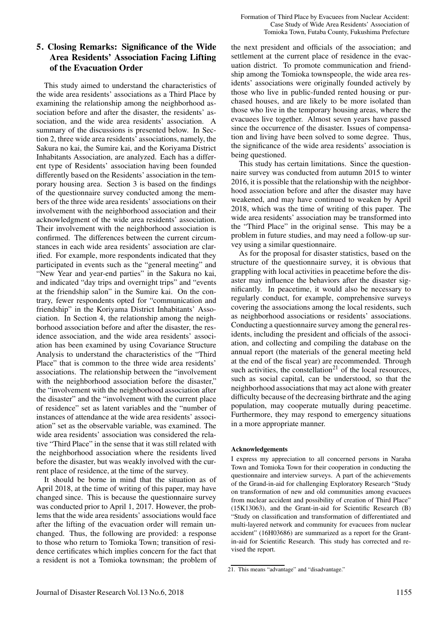# 5. Closing Remarks: Significance of the Wide Area Residents' Association Facing Lifting of the Evacuation Order

This study aimed to understand the characteristics of the wide area residents' associations as a Third Place by examining the relationship among the neighborhood association before and after the disaster, the residents' association, and the wide area residents' association. A summary of the discussions is presented below. In Section 2, three wide area residents' associations, namely, the Sakura no kai, the Sumire kai, and the Koriyama District Inhabitants Association, are analyzed. Each has a different type of Residents' association having been founded differently based on the Residents' association in the temporary housing area. Section 3 is based on the findings of the questionnaire survey conducted among the members of the three wide area residents' associations on their involvement with the neighborhood association and their acknowledgment of the wide area residents' association. Their involvement with the neighborhood association is confirmed. The differences between the current circumstances in each wide area residents' association are clarified. For example, more respondents indicated that they participated in events such as the "general meeting" and "New Year and year-end parties" in the Sakura no kai, and indicated "day trips and overnight trips" and "events at the friendship salon" in the Sumire kai. On the contrary, fewer respondents opted for "communication and friendship" in the Koriyama District Inhabitants' Association. In Section 4, the relationship among the neighborhood association before and after the disaster, the residence association, and the wide area residents' association has been examined by using Covariance Structure Analysis to understand the characteristics of the "Third Place" that is common to the three wide area residents' associations. The relationship between the "involvement with the neighborhood association before the disaster," the "involvement with the neighborhood association after the disaster" and the "involvement with the current place of residence" set as latent variables and the "number of instances of attendance at the wide area residents' association" set as the observable variable, was examined. The wide area residents' association was considered the relative "Third Place" in the sense that it was still related with the neighborhood association where the residents lived before the disaster, but was weakly involved with the current place of residence, at the time of the survey.

It should be borne in mind that the situation as of April 2018, at the time of writing of this paper, may have changed since. This is because the questionnaire survey was conducted prior to April 1, 2017. However, the problems that the wide area residents' associations would face after the lifting of the evacuation order will remain unchanged. Thus, the following are provided: a response to those who return to Tomioka Town; transition of residence certificates which implies concern for the fact that a resident is not a Tomioka townsman; the problem of the next president and officials of the association; and settlement at the current place of residence in the evacuation district. To promote communication and friendship among the Tomioka townspeople, the wide area residents' associations were originally founded actively by those who live in public-funded rented housing or purchased houses, and are likely to be more isolated than those who live in the temporary housing areas, where the evacuees live together. Almost seven years have passed since the occurrence of the disaster. Issues of compensation and living have been solved to some degree. Thus, the significance of the wide area residents' association is being questioned.

This study has certain limitations. Since the questionnaire survey was conducted from autumn 2015 to winter 2016, it is possible that the relationship with the neighborhood association before and after the disaster may have weakened, and may have continued to weaken by April 2018, which was the time of writing of this paper. The wide area residents' association may be transformed into the "Third Place" in the original sense. This may be a problem in future studies, and may need a follow-up survey using a similar questionnaire.

As for the proposal for disaster statistics, based on the structure of the questionnaire survey, it is obvious that grappling with local activities in peacetime before the disaster may influence the behaviors after the disaster significantly. In peacetime, it would also be necessary to regularly conduct, for example, comprehensive surveys covering the associations among the local residents, such as neighborhood associations or residents' associations. Conducting a questionnaire survey among the general residents, including the president and officials of the association, and collecting and compiling the database on the annual report (the materials of the general meeting held at the end of the fiscal year) are recommended. Through such activities, the constellation $21$  of the local resources, such as social capital, can be understood, so that the neighborhood associations that may act alone with greater difficulty because of the decreasing birthrate and the aging population, may cooperate mutually during peacetime. Furthermore, they may respond to emergency situations in a more appropriate manner.

#### Acknowledgements

I express my appreciation to all concerned persons in Naraha Town and Tomioka Town for their cooperation in conducting the questionnaire and interview surveys. A part of the achievements of the Grand-in-aid for challenging Exploratory Research "Study on transformation of new and old communities among evacuees from nuclear accident and possibility of creation of Third Place" (15K13063), and the Grant-in-aid for Scientific Research (B) "Study on classification and transformation of differentiated and multi-layered network and community for evacuees from nuclear accident" (16H03686) are summarized as a report for the Grantin-aid for Scientific Research. This study has corrected and revised the report.

<sup>21.</sup> This means "advantage" and "disadvantage."